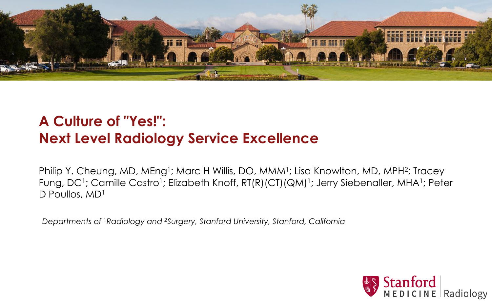

## **A Culture of "Yes!": Next Level Radiology Service Excellence**

Philip Y. Cheung, MD, MEng<sup>1</sup>; Marc H Willis, DO, MMM<sup>1</sup>; Lisa Knowlton, MD, MPH<sup>2</sup>; Tracey Fung, DC<sup>1</sup>; Camille Castro<sup>1</sup>; Elizabeth Knoff, RT(R)(CT)(QM)<sup>1</sup>; Jerry Siebenaller, MHA<sup>1</sup>; Peter D Poullos, MD<sup>1</sup>

*Departments of* 1*Radiology and 2Surgery, Stanford University, Stanford, California*

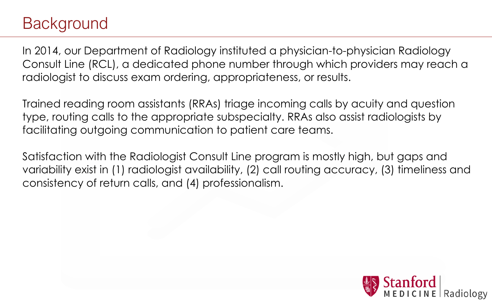## Background

In 2014, our Department of Radiology instituted a physician-to-physician Radiology Consult Line (RCL), a dedicated phone number through which providers may reach a radiologist to discuss exam ordering, appropriateness, or results.

Trained reading room assistants (RRAs) triage incoming calls by acuity and question type, routing calls to the appropriate subspecialty. RRAs also assist radiologists by facilitating outgoing communication to patient care teams.

Satisfaction with the Radiologist Consult Line program is mostly high, but gaps and variability exist in (1) radiologist availability, (2) call routing accuracy, (3) timeliness and consistency of return calls, and (4) professionalism.

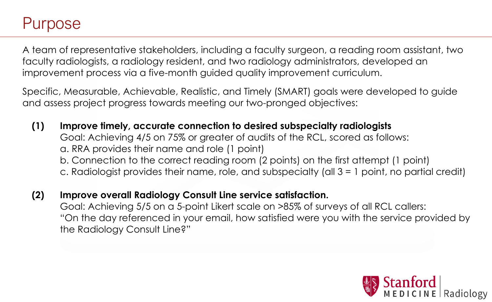## Purpose

A team of representative stakeholders, including a faculty surgeon, a reading room assistant, two faculty radiologists, a radiology resident, and two radiology administrators, developed an improvement process via a five-month guided quality improvement curriculum.

Specific, Measurable, Achievable, Realistic, and Timely (SMART) goals were developed to guide and assess project progress towards meeting our two-pronged objectives:

**(1) Improve timely, accurate connection to desired subspecialty radiologists** Goal: Achieving 4/5 on 75% or greater of audits of the RCL, scored as follows: a. RRA provides their name and role (1 point) b. Connection to the correct reading room (2 points) on the first attempt (1 point) c. Radiologist provides their name, role, and subspecialty (all 3 = 1 point, no partial credit)



**(2) Improve overall Radiology Consult Line service satisfaction.** Goal: Achieving 5/5 on a 5-point Likert scale on >85% of surveys of all RCL callers: "On the day referenced in your email, how satisfied were you with the service provided by the Radiology Consult Line?"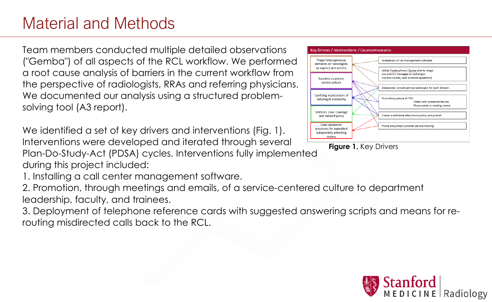# Material and Methods

Team members conducted multiple detailed observations ("Gemba") of all aspects of the RCL workflow. We performed a root cause analysis of barriers in the current workflow from the perspective of radiologists, RRAs and referring physicians. We documented our analysis using a structured problemsolving tool (A3 report).

We identified a set of key drivers and interventions (Fig. 1). Interventions were developed and iterated through several Plan-Do-Study-Act (PDSA) cycles. Interventions fully implemented during this project included: 1. Installing a call center management software. 2. Promotion, through meetings and emails, of a service-centered culture to department leadership, faculty, and trainees. 3. Deployment of telephone reference cards with suggested answering scripts and means for rerouting misdirected calls back to the RCL.



## **Figure 1.** Key Drivers

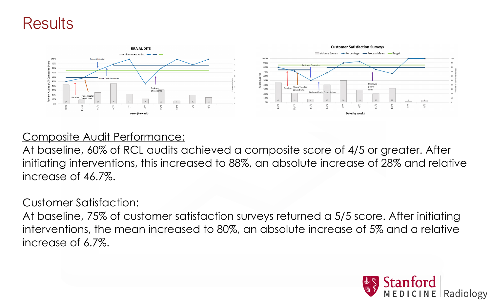## Results



Composite Audit Performance: At baseline, 60% of RCL audits achieved a composite score of 4/5 or greater. After initiating interventions, this increased to 88%, an absolute increase of 28% and relative increase of 46.7%.

Customer Satisfaction: At baseline, 75% of customer satisfaction surveys returned a 5/5 score. After initiating interventions, the mean increased to 80%, an absolute increase of 5% and a relative increase of 6.7%.

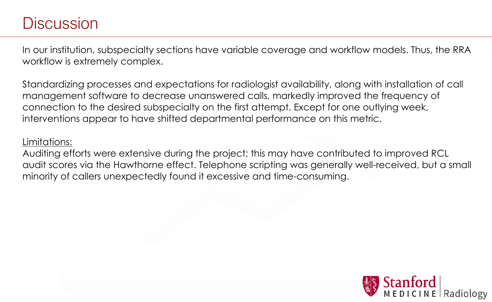## Discussion

In our institution, subspecialty sections have variable coverage and workflow models. Thus, the RRA workflow is extremely complex.

Standardizing processes and expectations for radiologist availability, along with installation of call management software to decrease unanswered calls, markedly improved the frequency of connection to the desired subspecialty on the first attempt. Except for one outlying week, interventions appear to have shifted departmental performance on this metric.

Limitations:

Auditing efforts were extensive during the project; this may have contributed to improved RCL audit scores via the Hawthorne effect. Telephone scripting was generally well-received, but a small minority of callers unexpectedly found it excessive and time-consuming.

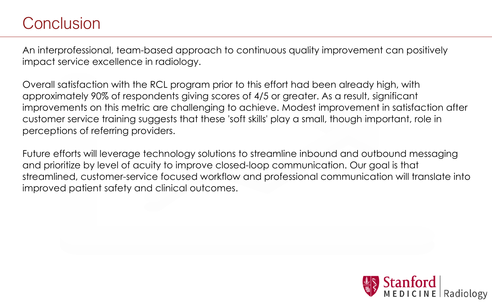# Conclusion

An interprofessional, team-based approach to continuous quality improvement can positively impact service excellence in radiology.

Overall satisfaction with the RCL program prior to this effort had been already high, with approximately 90% of respondents giving scores of 4/5 or greater. As a result, significant improvements on this metric are challenging to achieve. Modest improvement in satisfaction after customer service training suggests that these 'soft skills' play a small, though important, role in perceptions of referring providers.

Future efforts will leverage technology solutions to streamline inbound and outbound messaging and prioritize by level of acuity to improve closed-loop communication. Our goal is that streamlined, customer-service focused workflow and professional communication will translate into improved patient safety and clinical outcomes.